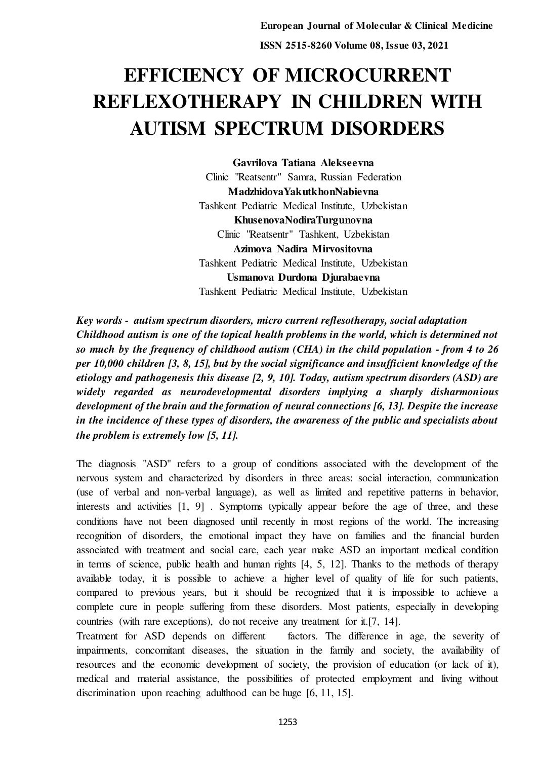# **EFFICIENCY OF MICROCURRENT REFLEXOTHERAPY IN CHILDREN WITH AUTISM SPECTRUM DISORDERS**

**Gavrilova Tatiana Alekseevna**  Clinic "Reatsentr" Samra, Russian Federation **MadzhidovaYakutkhonNabievna**  Tashkent Pediatric Medical Institute, Uzbekistan **KhusenovaNodiraTurgunovna**  Clinic "Reatsentr" Tashkent, Uzbekistan **Azimova Nadira Mirvositovna**  Tashkent Pediatric Medical Institute, Uzbekistan **Usmanova Durdona Djurabaevna**  Tashkent Pediatric Medical Institute, Uzbekistan

*Key words - autism spectrum disorders, micro current reflesotherapy, social adaptation Childhood autism is one of the topical health problems in the world, which is determined not so much by the frequency of childhood autism (СHA) in the child population - from 4 to 26 per 10,000 children [3, 8, 15], but by the social significance and insufficient knowledge of the etiology and pathogenesis this disease [2, 9, 10]. Today, autism spectrum disorders (ASD) are widely regarded as neurodevelopmental disorders implying a sharply disharmonious development of the brain and the formation of neural connections [6, 13]. Despite the increase in the incidence of these types of disorders, the awareness of the public and specialists about the problem is extremely low [5, 11].* 

The diagnosis "ASD" refers to a group of conditions associated with the development of the nervous system and characterized by disorders in three areas: social interaction, communication (use of verbal and non-verbal language), as well as limited and repetitive patterns in behavior, interests and activities [1, 9] . Symptoms typically appear before the age of three, and these conditions have not been diagnosed until recently in most regions of the world. The increasing recognition of disorders, the emotional impact they have on families and the financial burden associated with treatment and social care, each year make ASD an important medical condition in terms of science, public health and human rights [4, 5, 12]. Thanks to the methods of therapy available today, it is possible to achieve a higher level of quality of life for such patients, compared to previous years, but it should be recognized that it is impossible to achieve a complete cure in people suffering from these disorders. Most patients, especially in developing countries (with rare exceptions), do not receive any treatment for it.[7, 14].

Treatment for ASD depends on different factors. The difference in age, the severity of impairments, concomitant diseases, the situation in the family and society, the availability of resources and the economic development of society, the provision of education (or lack of it), medical and material assistance, the possibilities of protected employment and living without discrimination upon reaching adulthood can be huge [6, 11, 15].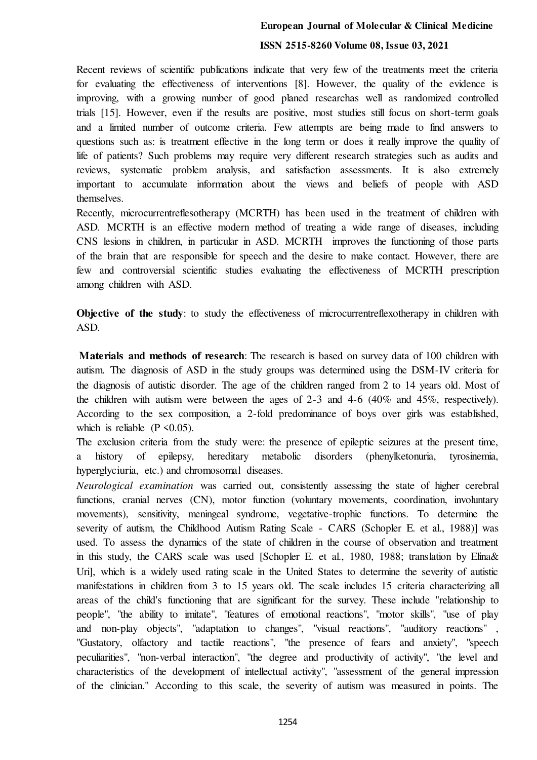# **European Journal of Molecular & Clinical Medicine ISSN 2515-8260 Volume 08, Issue 03, 2021**

Recent reviews of scientific publications indicate that very few of the treatments meet the criteria for evaluating the effectiveness of interventions [8]. However, the quality of the evidence is improving, with a growing number of good planed researchas well as randomized controlled trials [15]. However, even if the results are positive, most studies still focus on short-term goals and a limited number of outcome criteria. Few attempts are being made to find answers to questions such as: is treatment effective in the long term or does it really improve the quality of life of patients? Such problems may require very different research strategies such as audits and reviews, systematic problem analysis, and satisfaction assessments. It is also extremely important to accumulate information about the views and beliefs of people with ASD themselves.

Recently, microcurrentreflesotherapy (MСRTH) has been used in the treatment of children with ASD. MСRTH is an effective modern method of treating a wide range of diseases, including CNS lesions in children, in particular in ASD. MСRTH improves the functioning of those parts of the brain that are responsible for speech and the desire to make contact. However, there are few and controversial scientific studies evaluating the effectiveness of MСRTH prescription among children with ASD.

**Objective of the study**: to study the effectiveness of microcurrent reflexotherapy in children with ASD.

 **Materials and methods of research**: The research is based on survey data of 100 children with autism. The diagnosis of ASD in the study groups was determined using the DSM-IV criteria for the diagnosis of autistic disorder. The age of the children ranged from 2 to 14 years old. Most of the children with autism were between the ages of 2-3 and 4-6 (40% and 45%, respectively). According to the sex composition, a 2-fold predominance of boys over girls was established, which is reliable  $(P \le 0.05)$ .

The exclusion criteria from the study were: the presence of epileptic seizures at the present time, a history of epilepsy, hereditary metabolic disorders (phenylketonuria, tyrosinemia, hyperglyciuria, etc.) and chromosomal diseases.

*Neurological examination* was carried out, consistently assessing the state of higher cerebral functions, cranial nerves (CN), motor function (voluntary movements, coordination, involuntary movements), sensitivity, meningeal syndrome, vegetative-trophic functions. To determine the severity of autism, the Childhood Autism Rating Scale - CARS (Schopler E. et al., 1988)] was used. To assess the dynamics of the state of children in the course of observation and treatment in this study, the CARS scale was used [Schopler E. et al., 1980, 1988; translation by Elina& Uri], which is a widely used rating scale in the United States to determine the severity of autistic manifestations in children from 3 to 15 years old. The scale includes 15 criteria characterizing all areas of the child's functioning that are significant for the survey. These include "relationship to people", "the ability to imitate", "features of emotional reactions", "motor skills", "use of play and non-play objects", "adaptation to changes", "visual reactions", "auditory reactions" , "Gustatory, olfactory and tactile reactions", "the presence of fears and anxiety", "speech peculiarities", "non-verbal interaction", "the degree and productivity of activity", "the level and characteristics of the development of intellectual activity", "assessment of the general impression of the clinician." According to this scale, the severity of autism was measured in points. The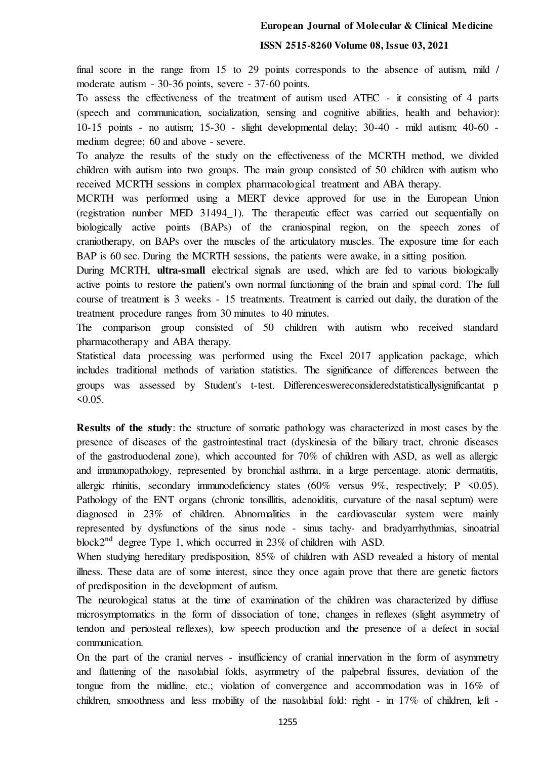#### **European Journal of Molecular & Clinical Medicine**

#### **ISSN 2515-8260 Volume 08, Issue 03, 2021**

final score in the range from 15 to 29 points corresponds to the absence of autism, mild / moderate autism - 30-36 points, severe - 37-60 points.

To assess the effectiveness of the treatment of autism used ATEC - it consisting of 4 parts (speech and communication, socialization, sensing and cognitive abilities, health and behavior): 10-15 points - no autism; 15-30 - slight developmental delay; 30-40 - mild autism; 40-60 medium degree; 60 and above - severe.

To analyze the results of the study on the effectiveness of the MСRTH method, we divided children with autism into two groups. The main group consisted of 50 children with autism who received MСRTH sessions in complex pharmacological treatment and ABA therapy.

MСRTH was performed using a MERT device approved for use in the European Union (registration number MED 31494\_1). The therapeutic effect was carried out sequentially on biologically active points (BAPs) of the craniospinal region, on the speech zones of craniotherapy, on BAPs over the muscles of the articulatory muscles. The exposure time for each BAP is 60 sec. During the MCRTH sessions, the patients were awake, in a sitting position.

During MСRTH, **ultra-small** electrical signals are used, which are fed to various biologically active points to restore the patient's own normal functioning of the brain and spinal cord. The full course of treatment is 3 weeks - 15 treatments. Treatment is carried out daily, the duration of the treatment procedure ranges from 30 minutes to 40 minutes.

The comparison group consisted of 50 children with autism who received standard pharmacotherapy and ABA therapy.

Statistical data processing was performed using the Excel 2017 application package, which includes traditional methods of variation statistics. The significance of differences between the groups was assessed by Student's t-test. Differenceswereconsideredstatisticallysignificantat p  $50.05$ .

**Results of the study**: the structure of somatic pathology was characterized in most cases by the presence of diseases of the gastrointestinal tract (dyskinesia of the biliary tract, chronic diseases of the gastroduodenal zone), which accounted for 70% of children with ASD, as well as allergic and immunopathology, represented by bronchial asthma, in a large percentage. atonic dermatitis, allergic rhinitis, secondary immunodeficiency states  $(60\%$  versus 9%, respectively; P <0.05). Pathology of the ENT organs (chronic tonsillitis, adenoiditis, curvature of the nasal septum) were diagnosed in 23% of children. Abnormalities in the cardiovascular system were mainly represented by dysfunctions of the sinus node - sinus tachy- and bradyarrhythmias, sinoatrial block2<sup>nd</sup> degree Type 1, which occurred in 23% of children with ASD.

When studying hereditary predisposition, 85% of children with ASD revealed a history of mental illness. These data are of some interest, since they once again prove that there are genetic factors of predisposition in the development of autism.

The neurological status at the time of examination of the children was characterized by diffuse microsymptomatics in the form of dissociation of tone, changes in reflexes (slight asymmetry of tendon and periosteal reflexes), low speech production and the presence of a defect in social communication.

On the part of the cranial nerves - insufficiency of cranial innervation in the form of asymmetry and flattening of the nasolabial folds, asymmetry of the palpebral fissures, deviation of the tongue from the midline, etc.; violation of convergence and accommodation was in 16% of children, smoothness and less mobility of the nasolabial fold: right - in 17% of children, left -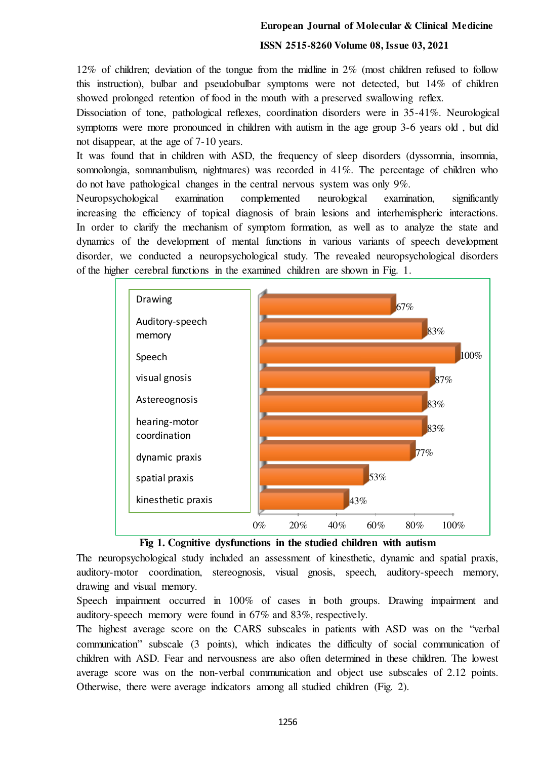#### **European Journal of Molecular & Clinical Medicine**

#### **ISSN 2515-8260 Volume 08, Issue 03, 2021**

12% of children; deviation of the tongue from the midline in 2% (most children refused to follow this instruction), bulbar and pseudobulbar symptoms were not detected, but 14% of children showed prolonged retention of food in the mouth with a preserved swallowing reflex.

Dissociation of tone, pathological reflexes, coordination disorders were in 35-41%. Neurological symptoms were more pronounced in children with autism in the age group 3-6 years old , but did not disappear, at the age of 7-10 years.

It was found that in children with ASD, the frequency of sleep disorders (dyssomnia, insomnia, somnolongia, somnambulism, nightmares) was recorded in 41%. The percentage of children who do not have pathological changes in the central nervous system was only 9%.

Neuropsychological examination complemented neurological examination, significantly increasing the efficiency of topical diagnosis of brain lesions and interhemispheric interactions. In order to clarify the mechanism of symptom formation, as well as to analyze the state and dynamics of the development of mental functions in various variants of speech development disorder, we conducted a neuropsychological study. The revealed neuropsychological disorders of the higher cerebral functions in the examined children are shown in Fig. 1.





The neuropsychological study included an assessment of kinesthetic, dynamic and spatial praxis, auditory-motor coordination, stereognosis, visual gnosis, speech, auditory-speech memory, drawing and visual memory.

Speech impairment occurred in 100% of cases in both groups. Drawing impairment and auditory-speech memory were found in 67% and 83%, respectively.

The highest average score on the CARS subscales in patients with ASD was on the "verbal communication" subscale (3 points), which indicates the difficulty of social communication of children with ASD. Fear and nervousness are also often determined in these children. The lowest average score was on the non-verbal communication and object use subscales of 2.12 points. Otherwise, there were average indicators among all studied children (Fig. 2).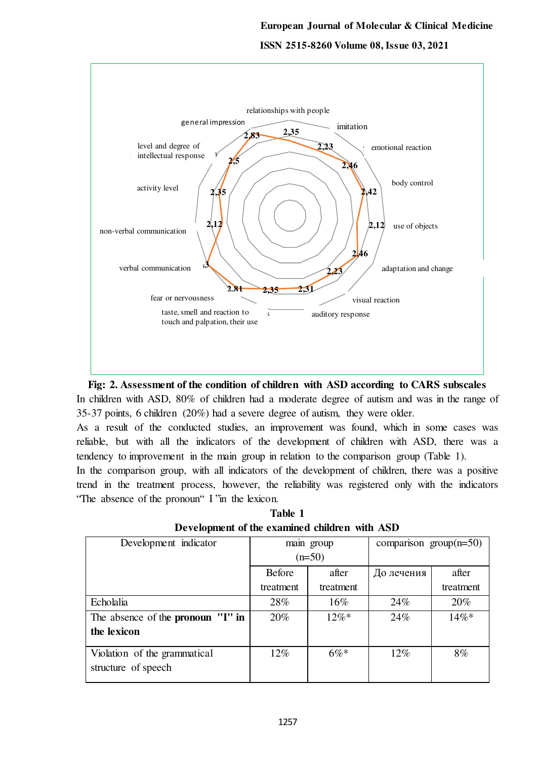



As a result of the conducted studies, an improvement was found, which in some cases was reliable, but with all the indicators of the development of children with ASD, there was a tendency to improvement in the main group in relation to the comparison group (Table 1).

In the comparison group, with all indicators of the development of children, there was a positive trend in the treatment process, however, the reliability was registered only with the indicators "The absence of the pronoun" I "in the lexicon.

**Table 1 Development of the examined children with ASD** 

| Development indicator                               | main group    |           | comparison group $(n=50)$ |           |
|-----------------------------------------------------|---------------|-----------|---------------------------|-----------|
|                                                     | $(n=50)$      |           |                           |           |
|                                                     | <b>Before</b> | after     | До лечения                | after     |
|                                                     | treatment     | treatment |                           | treatment |
| Echolalia                                           | 28%           | $16\%$    | 24%                       | 20%       |
| The absence of the pronoun "I" in                   | 20%           | $12\%*$   | 24%                       | $14\%*$   |
| the lexicon                                         |               |           |                           |           |
| Violation of the grammatical<br>structure of speech | 12%           | $6\%*$    | $12\%$                    | 8%        |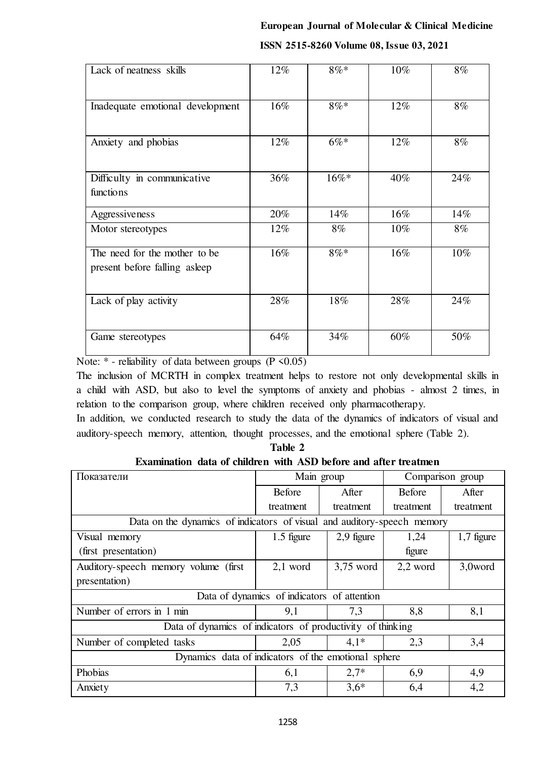# **European Journal of Molecular & Clinical Medicine ISSN 2515-8260 Volume 08, Issue 03, 2021**

| Lack of neatness skills                                         | 12% | $8\% *$ | 10%    | 8%    |
|-----------------------------------------------------------------|-----|---------|--------|-------|
| Inadequate emotional development                                | 16% | $8\%*$  | 12%    | 8%    |
| Anxiety and phobias                                             | 12% | $6\%*$  | 12%    | 8%    |
|                                                                 |     |         |        |       |
| Difficulty in communicative<br>functions                        | 36% | $16\%*$ | 40%    | 24%   |
| Aggressiveness                                                  | 20% | 14%     | $16\%$ | 14%   |
| Motor stereotypes                                               | 12% | $8\%$   | 10%    | $8\%$ |
| The need for the mother to be<br>present before falling as leep | 16% | $8\% *$ | 16%    | 10%   |
| Lack of play activity                                           | 28% | 18%     | 28%    | 24%   |
| Game stereotypes                                                | 64% | 34%     | 60%    | 50%   |

Note:  $*$  - reliability of data between groups (P < 0.05)

The inclusion of MСRTH in complex treatment helps to restore not only developmental skills in a child with ASD, but also to level the symptoms of anxiety and phobias - almost 2 times, in relation to the comparison group, where children received only pharmacotherapy.

In addition, we conducted research to study the data of the dynamics of indicators of visual and auditory-speech memory, attention, thought processes, and the emotional sphere (Table 2).

| Examination data of children with ASD before and after treatment        |               |             |                  |              |  |
|-------------------------------------------------------------------------|---------------|-------------|------------------|--------------|--|
| Показатели                                                              | Main group    |             | Comparison group |              |  |
|                                                                         | <b>Before</b> | After       | <b>Before</b>    | After        |  |
|                                                                         | treatment     | treatment   | treatment        | treatment    |  |
| Data on the dynamics of indicators of visual and auditory-speech memory |               |             |                  |              |  |
| Visual memory                                                           | 1.5 figure    | 2,9 figure  | 1,24             | $1,7$ figure |  |
| (first presentation)                                                    |               |             | figure           |              |  |
| Auditory-speech memory volume (first)                                   | $2,1$ word    | $3,75$ word | 2,2 word         | 3,0word      |  |
| presentation)                                                           |               |             |                  |              |  |
| Data of dynamics of indicators of attention                             |               |             |                  |              |  |
| Number of errors in 1 min                                               | 9,1           | 7,3         | 8,8              | 8,1          |  |
| Data of dynamics of indicators of productivity of thinking              |               |             |                  |              |  |
| Number of completed tasks                                               | 2,05          | $4.1*$      | 2,3              | 3,4          |  |
| Dynamics data of indicators of the emotional sphere                     |               |             |                  |              |  |
| Phobias                                                                 | 6,1           | $2.7*$      | 6,9              | 4,9          |  |
| Anxiety                                                                 | 7,3           | $3,6*$      | 6,4              | 4,2          |  |

**Table 2 Examination data of children with ASD before and after treatmen**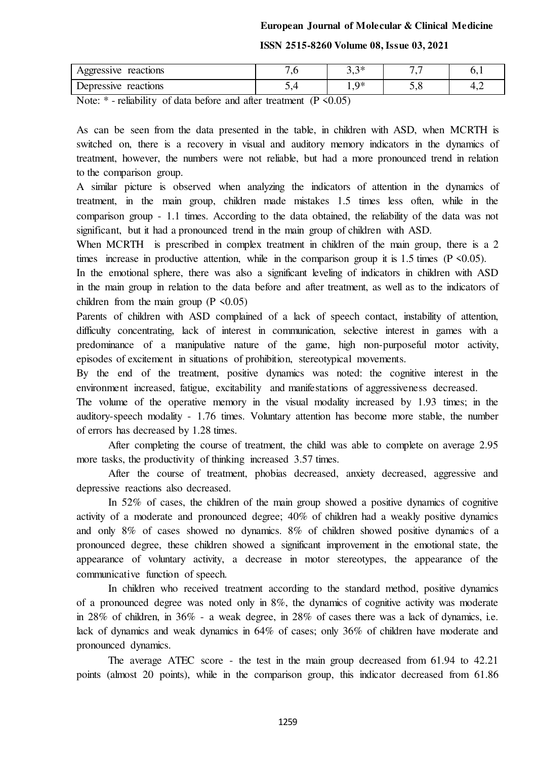#### **ISSN 2515-8260 Volume 08, Issue 03, 2021**

| reactions<br>Aggressive | $\cdot$ | $\sim$<br>ັ້ | $\overline{\phantom{0}}$ | ◡.  |
|-------------------------|---------|--------------|--------------------------|-----|
| Depressive reactions    |         | 0*<br>.      | ັ້                       | т,∠ |

Note:  $*$  - reliability of data before and after treatment (P < 0.05)

As can be seen from the data presented in the table, in children with ASD, when MСRTH is switched on, there is a recovery in visual and auditory memory indicators in the dynamics of treatment, however, the numbers were not reliable, but had a more pronounced trend in relation to the comparison group.

A similar picture is observed when analyzing the indicators of attention in the dynamics of treatment, in the main group, children made mistakes 1.5 times less often, while in the comparison group - 1.1 times. According to the data obtained, the reliability of the data was not significant, but it had a pronounced trend in the main group of children with ASD.

When MCRTH is prescribed in complex treatment in children of the main group, there is a 2 times increase in productive attention, while in the comparison group it is 1.5 times ( $P \le 0.05$ ).

In the emotional sphere, there was also a significant leveling of indicators in children with ASD in the main group in relation to the data before and after treatment, as well as to the indicators of children from the main group ( $P \le 0.05$ )

Parents of children with ASD complained of a lack of speech contact, instability of attention, difficulty concentrating, lack of interest in communication, selective interest in games with a predominance of a manipulative nature of the game, high non-purposeful motor activity, episodes of excitement in situations of prohibition, stereotypical movements.

By the end of the treatment, positive dynamics was noted: the cognitive interest in the environment increased, fatigue, excitability and manifestations of aggressiveness decreased.

The volume of the operative memory in the visual modality increased by 1.93 times; in the auditory-speech modality - 1.76 times. Voluntary attention has become more stable, the number of errors has decreased by 1.28 times.

After completing the course of treatment, the child was able to complete on average 2.95 more tasks, the productivity of thinking increased 3.57 times.

After the course of treatment, phobias decreased, anxiety decreased, aggressive and depressive reactions also decreased.

In 52% of cases, the children of the main group showed a positive dynamics of cognitive activity of a moderate and pronounced degree; 40% of children had a weakly positive dynamics and only 8% of cases showed no dynamics. 8% of children showed positive dynamics of a pronounced degree, these children showed a significant improvement in the emotional state, the appearance of voluntary activity, a decrease in motor stereotypes, the appearance of the communicative function of speech.

In children who received treatment according to the standard method, positive dynamics of a pronounced degree was noted only in 8%, the dynamics of cognitive activity was moderate in 28% of children, in 36% - a weak degree, in 28% of cases there was a lack of dynamics, i.e. lack of dynamics and weak dynamics in 64% of cases; only 36% of children have moderate and pronounced dynamics.

The average ATEC score - the test in the main group decreased from 61.94 to 42.21 points (almost 20 points), while in the comparison group, this indicator decreased from 61.86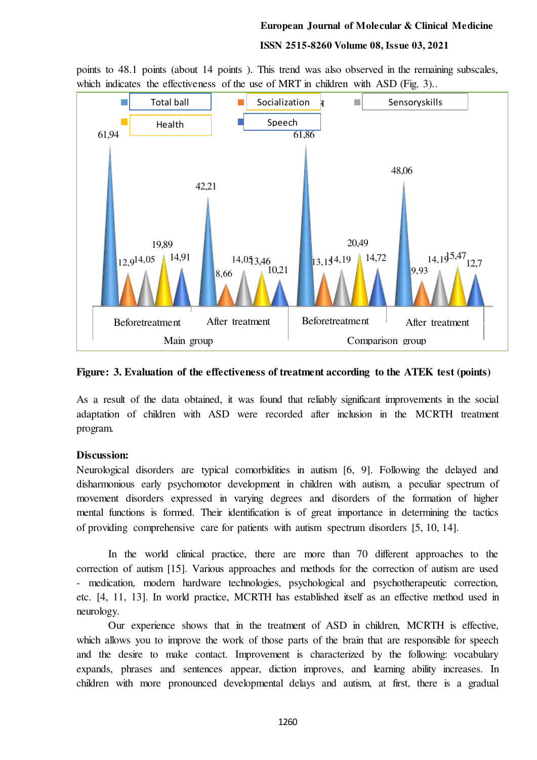#### **European Journal of Molecular & Clinical Medicine**

#### **ISSN 2515-8260 Volume 08, Issue 03, 2021**



points to 48.1 points (about 14 points). This trend was also observed in the remaining subscales, which indicates the effectiveness of the use of MRT in children with ASD (Fig. 3)...

#### **Figure: 3. Evaluation of the effectiveness of treatment according to the ATEK test (points)**

As a result of the data obtained, it was found that reliably significant improvements in the social adaptation of children with ASD were recorded after inclusion in the MСRTH treatment program.

### **Discussion:**

Neurological disorders are typical comorbidities in autism [6, 9]. Following the delayed and disharmonious early psychomotor development in children with autism, a peculiar spectrum of movement disorders expressed in varying degrees and disorders of the formation of higher mental functions is formed. Their identification is of great importance in determining the tactics of providing comprehensive care for patients with autism spectrum disorders [5, 10, 14].

In the world clinical practice, there are more than 70 different approaches to the correction of autism [15]. Various approaches and methods for the correction of autism are used - medication, modern hardware technologies, psychological and psychotherapeutic correction, etc. [4, 11, 13]. In world practice, MСRTH has established itself as an effective method used in neurology.

Our experience shows that in the treatment of ASD in children, MСRTH is effective, which allows you to improve the work of those parts of the brain that are responsible for speech and the desire to make contact. Improvement is characterized by the following: vocabulary expands, phrases and sentences appear, diction improves, and learning ability increases. In children with more pronounced developmental delays and autism, at first, there is a gradual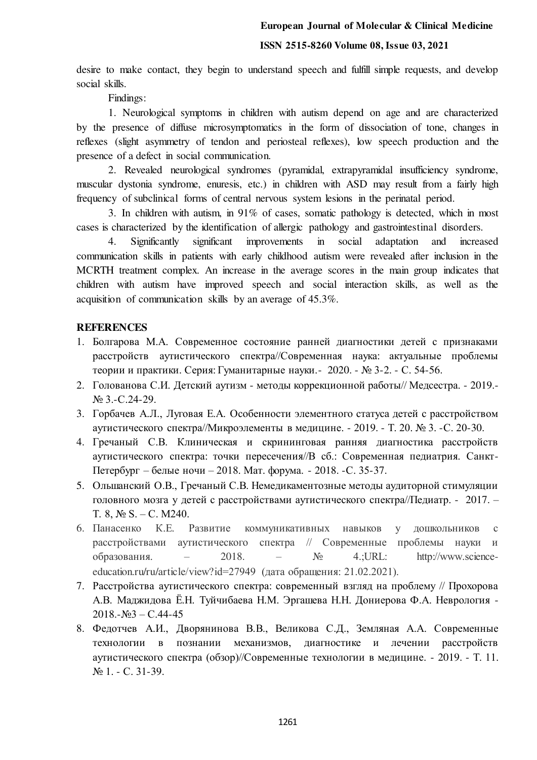## **ISSN 2515-8260 Volume 08, Issue 03, 2021**

desire to make contact, they begin to understand speech and fulfill simple requests, and develop social skills.

Findings:

1. Neurological symptoms in children with autism depend on age and are characterized by the presence of diffuse microsymptomatics in the form of dissociation of tone, changes in reflexes (slight asymmetry of tendon and periosteal reflexes), low speech production and the presence of a defect in social communication.

2. Revealed neurological syndromes (pyramidal, extrapyramidal insufficiency syndrome, muscular dystonia syndrome, enuresis, etc.) in children with ASD may result from a fairly high frequency of subclinical forms of central nervous system lesions in the perinatal period.

3. In children with autism, in 91% of cases, somatic pathology is detected, which in most cases is characterized by the identification of allergic pathology and gastrointestinal disorders.

4. Significantly significant improvements in social adaptation and increased communication skills in patients with early childhood autism were revealed after inclusion in the MСRTH treatment complex. An increase in the average scores in the main group indicates that children with autism have improved speech and social interaction skills, as well as the acquisition of communication skills by an average of 45.3%.

# **REFERENCES**

- 1. Болгарова М.А. Современное состояние ранней диагностики детей с признаками расстройств аутистического спектра//Современная наука: актуальные проблемы теории и практики. Серия: Гуманитарные науки.- 2020. - № 3-2. - С. 54-56.
- 2. Голованова С.И. Детский аутизм методы коррекционной работы// Медсестра. 2019.- № 3.-С.24-29.
- 3. Горбачев А.Л., Луговая Е.А. Особенности элементного статуса детей с расстройством аутистического спектра//Микроэлементы в медицине. - 2019. - Т. 20. № 3. -С. 20-30.
- 4. Гречаный С.В. Клиническая и скрининговая ранняя диагностика расстройств аутистического спектра: точки пересечения//В сб.: Современная педиатрия. Санкт-Петербург – белые ночи – 2018. Мат. форума. - 2018. -С. 35-37.
- 5. Ольшанский О.В., Гречаный С.В. Немедикаментозные методы аудиторной стимуляции головного мозга у детей с расстройствами аутистического спектра//Педиатр. - 2017. – Т. 8, № S. – С. М240.
- 6. Панасенко К.Е. Развитие коммуникативных навыков у дошкольников с расстройствами аутистического спектра // Современные проблемы науки и образования. – 2018. –  $N_2$  4.;URL: http://www.scienceeducation.ru/ru/article/view?id=27949 (дата обращения: 21.02.2021).
- 7. Расстройства аутистического спектра: современный взгляд на проблему // Прохорова А.В. Маджидова Ё.Н. Туйчибаева Н.М. Эргашева Н.Н. Дониерова Ф.А. Неврология -  $2018.-N<sub>2</sub>3 - C.44-45$
- 8. Федотчев А.И., Дворянинова В.В., Великова С.Д., Земляная А.А. Современные технологии в познании механизмов, диагностике и лечении расстройств аутистического спектра (обзор)//Современные технологии в медицине. - 2019. - Т. 11. № 1. - С. 31-39.